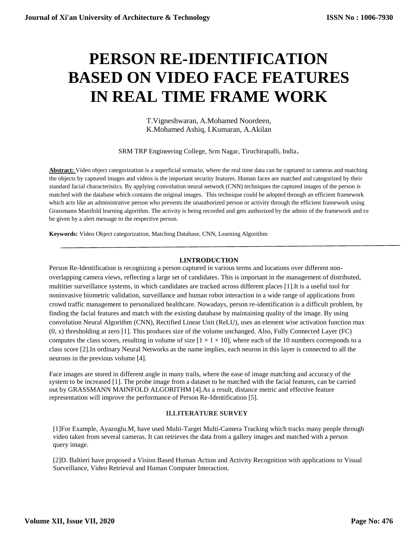# **PERSON RE-IDENTIFICATION BASED ON VIDEO FACE FEATURES IN REAL TIME FRAME WORK**

T.Vigneshwaran, A.Mohamed Noordeen, K.Mohamed Ashiq, I.Kumaran, A.Akilan

SRM TRP Engineering College, Srm Nagar, Tiruchirapalli, India.

**Abstract:** Video object categorization is a superficial scenario, where the real time data can be captured in cameras and matching the objects by captured images and videos is the important security features. Human faces are matched and categorized by their standard facial characteristics. By applying convolution neural network (CNN) techniques the captured images of the person is matched with the database which contains the original images. This technique could be adopted through an efficient framework which acts like an administrative person who prevents the unauthorized person or activity through the efficient framework using Grassmann Manifold learning algorithm. The activity is being recorded and gets authorized by the admin of the framework and to be given by a alert message to the respective person.

**Keywords:** Video Object categorization, Matching Database, CNN, Learning Algorithm

# **I.INTRODUCTION**

Person Re-Identification is recognizing a person captured in various terms and locations over different nonoverlapping camera views, reflecting a large set of candidates. This is important in the management of distributed, multitier surveillance systems, in which candidates are tracked across different places [1].It is a useful tool for noninvasive biometric validation, surveillance and human robot interaction in a wide range of applications from crowd traffic management to personalized healthcare. Nowadays, person re-identification is a difficult problem, by finding the facial features and match with the existing database by maintaining quality of the image. By using convolution Neural Algorithm (CNN), Rectified Linear Unit (ReLU), uses an element wise activation function max (0, x) thresholding at zero [1]. This produces size of the volume unchanged. Also, Fully Connected Layer (FC) computes the class scores, resulting in volume of size  $[1 \times 1 \times 10]$ , where each of the 10 numbers corresponds to a class score [2].In ordinary Neural Networks as the name implies, each neuron in this layer is connected to all the neurons in the previous volume [4].

Face images are stored in different angle in many trails, where the ease of image matching and accuracy of the system to be increased [1]. The probe image from a dataset to be matched with the facial features, can be carried out by GRASSMANN MAINFOLD ALGORITHM [4].As a result, distance metric and effective feature representation will improve the performance of Person Re-Identification [5].

#### **II.LITERATURE SURVEY**

[1]For Example, Ayazoglu.M, have used Multi-Target Multi-Camera Tracking which tracks many people through video taken from several cameras. It can retrieves the data from a gallery images and matched with a person query image.

[2]D. Baltieri have proposed a Vision Based Human Action and Activity Recognition with applications to Visual Surveillance, Video Retrieval and Human Computer Interaction.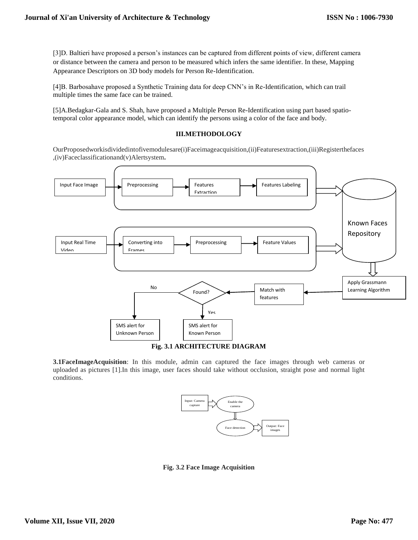[3]D. Baltieri have proposed a person's instances can be captured from different points of view, different camera or distance between the camera and person to be measured which infers the same identifier. In these, Mapping Appearance Descriptors on 3D body models for Person Re-Identification.

[4]B. Barbosahave proposed a Synthetic Training data for deep CNN's in Re-Identification, which can trail multiple times the same face can be trained.

[5]A.Bedagkar-Gala and S. Shah, have proposed a Multiple Person Re-Identification using part based spatiotemporal color appearance model, which can identify the persons using a color of the face and body.

# **III.METHODOLOGY**

OurProposedworkisdividedintofivemodulesare(i)Faceimageacquisition,(ii)Featuresextraction,(iii)Registerthefaces ,(iv)Faceclassificationand(v)Alertsystem**.**



**3.1FaceImageAcquisition**: In this module, admin can captured the face images through web cameras or uploaded as pictures [1].In this image, user faces should take without occlusion, straight pose and normal light conditions.



**Fig. 3.2 Face Image Acquisition**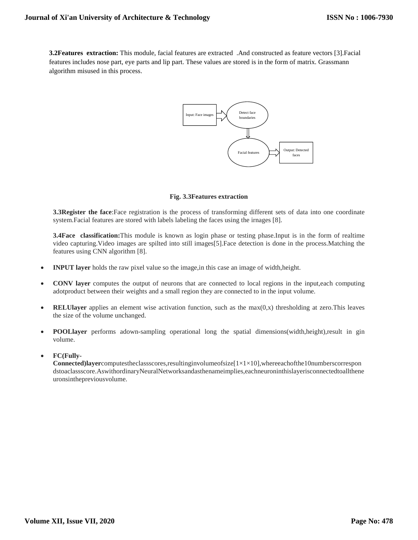**3.2Features extraction:** This module, facial features are extracted .And constructed as feature vectors [3].Facial features includes nose part, eye parts and lip part. These values are stored is in the form of matrix. Grassmann algorithm misused in this process.



## **Fig. 3.3Features extraction**

**3.3Register the face**:Face registration is the process of transforming different sets of data into one coordinate system.Facial features are stored with labels labeling the faces using the irnages [8].

**3.4Face classification:**This module is known as login phase or testing phase.Input is in the form of realtime video capturing.Video images are spilted into still images[5].Face detection is done in the process.Matching the features using CNN algorithm [8].

- **INPUT layer** holds the raw pixel value so the image,in this case an image of width,height.
- **CONV layer** computes the output of neurons that are connected to local regions in the input, each computing adotproduct between their weights and a small region they are connected to in the input volume.
- **RELUIayer** applies an element wise activation function, such as the  $max(0,x)$  thresholding at zero.This leaves the size of the volume unchanged.
- **POOLlayer** performs adown-sampling operational long the spatial dimensions(width,height),result in gin volume.
- **FC(Fully-**

**Connected)layer**computestheclassscores,resultinginvolumeofsize[1×1×10],whereeachofthe10numberscorrespon dstoaclassscore.AswithordinaryNeuralNetworksandasthenameimplies,eachneuroninthislayerisconnectedtoallthene uronsinthepreviousvolume.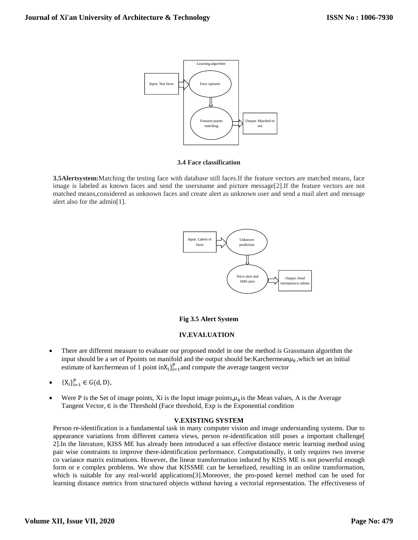

#### **3.4 Face classification**

**3.5Alertsystem:**Matching the testing face with database still faces.If the feature vectors are matched means, face image is labeled as known faces and send the usersname and picture message[2].If the feature vectors are not matched means,considered as unknown faces and create alert as unknown user and send a mail alert and message alert also for the admin[1].



# **Fig 3.5 Alert System**

# **IV.EVALUATION**

- There are different measure to evaluate our proposed model in one the method is Grassmann algorithm the input should be a set of Ppoints on manifold and the output should be: Karchermean $\mu_k$ , which set an initial estimate of karchermean of 1 point  $\text{inX}_i$ <sub>i=1</sub> and compute the average tangent vector
- ${X_i}_{i=1}^P \in G(d, D),$
- Were P is the Set of image points, Xi is the Input image points, $\mu_k$  is the Mean values, A is the Average Tangent Vector,  $\in$  is the Threshold (Face threshold, Exp is the Exponential condition

# **V.EXISTING SYSTEM**

Person re-identification is a fundamental task in many computer vision and image understanding systems. Due to appearance variations from different camera views, person re-identification still poses a important challenge[ 2].In the literature, KISS ME has already been introduced a san effective distance metric learning method using pair wise constraints to improve there-identification performance. Computationally, it only requires two inverse co variance matrix estimations. However, the linear transformation induced by KISS ME is not powerful enough form or e complex problems. We show that KISSME can be kernelized, resulting in an online transformation, which is suitable for any real-world applications[3].Moreover, the pro-posed kernel method can be used for learning distance metrics from structured objects without having a vectorial representation. The effectiveness of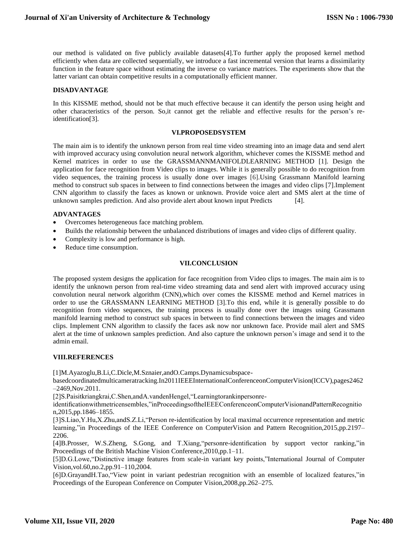our method is validated on five publicly available datasets[4].To further apply the proposed kernel method efficiently when data are collected sequentially, we introduce a fast incremental version that learns a dissimilarity function in the feature space without estimating the inverse co variance matrices. The experiments show that the latter variant can obtain competitive results in a computationally efficient manner.

## **DISADVANTAGE**

In this KISSME method, should not be that much effective because it can identify the person using height and other characteristics of the person. So,it cannot get the reliable and effective results for the person's reidentification[3].

#### **VI.PROPOSEDSYSTEM**

The main aim is to identify the unknown person from real time video streaming into an image data and send alert with improved accuracy using convolution neural network algorithm, whichever comes the KISSME method and Kernel matrices in order to use the GRASSMANNMANIFOLDLEARNING METHOD [1]. Design the application for face recognition from Video clips to images. While it is generally possible to do recognition from video sequences, the training process is usually done over images [6].Using Grassmann Manifold learning method to construct sub spaces in between to find connections between the images and video clips [7].Implement CNN algorithm to classify the faces as known or unknown. Provide voice alert and SMS alert at the time of unknown samples prediction. And also provide alert about known input Predicts [4].

## **ADVANTAGES**

- Overcomes heterogeneous face matching problem.
- Builds the relationship between the unbalanced distributions of images and video clips of different quality.
- Complexity is low and performance is high.
- Reduce time consumption.

## **VII.CONCLUSION**

The proposed system designs the application for face recognition from Video clips to images. The main aim is to identify the unknown person from real-time video streaming data and send alert with improved accuracy using convolution neural network algorithm (CNN),which over comes the KISSME method and Kernel matrices in order to use the GRASSMANN LEARNING METHOD [3].To this end, while it is generally possible to do recognition from video sequences, the training process is usually done over the images using Grassmann manifold learning method to construct sub spaces in between to find connections between the images and video clips. Implement CNN algorithm to classify the faces ask now nor unknown face. Provide mail alert and SMS alert at the time of unknown samples prediction. And also capture the unknown person's image and send it to the admin email.

## **VIII.REFERENCES**

[1]M.Ayazoglu,B.Li,C.Dicle,M.Sznaier,andO.Camps.Dynamicsubspace-

basedcoordinatedmulticameratracking.In2011IEEEInternationalConferenceonComputerVision(ICCV),pages2462 –2469,Nov.2011.

[2]S.Paisitkriangkrai,C.Shen,andA.vandenHengel,"Learningtorankinpersonre-

identificationwithmetricensembles,"inProceedingsoftheIEEEConferenceonComputerVisionandPatternRecognitio n,2015,pp.1846–1855.

[3]S.Liao,Y.Hu,X.Zhu,andS.Z.Li,"Person re-identification by local maximal occurrence representation and metric learning,"in Proceedings of the IEEE Conference on ComputerVision and Pattern Recognition,2015,pp.2197– 2206.

[4]B.Prosser, W.S.Zheng, S.Gong, and T.Xiang,"personre-identification by support vector ranking,"in Proceedings of the British Machine Vision Conference,2010,pp.1–11.

[5]D.G.Lowe,"Distinctive image features from scale-in variant key points,"International Journal of Computer Vision,vol.60,no.2,pp.91–110,2004.

[6]D.GrayandH.Tao,"View point in variant pedestrian recognition with an ensemble of localized features,"in Proceedings of the European Conference on Computer Vision,2008,pp.262–275.